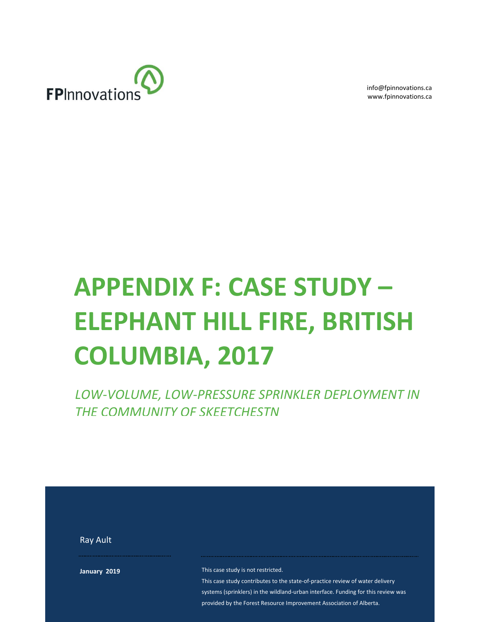

[info@fpinnovations.ca](mailto:info@fpinnovations.ca) [www.fpinnovations.ca](file:///C:/Users/Severine.Lavoie/AppData/Local/Microsoft/Windows/Temporary%20Internet%20Files/Content.Outlook/2D88M3XE/www.fpinnovations.ca)

# **APPENDIX F: CASE STUDY – ELEPHANT HILL FIRE, BRITISH COLUMBIA, 2017**

*LOW-VOLUME, LOW-PRESSURE SPRINKLER DEPLOYMENT IN THE COMMUNITY OF SKEETCHESTN*

This case study is not restricted. This case study contributes to the state-of-practice review of water delivery systems (sprinklers) in the wildland-urban interface. Funding for this review was provided by the Forest Resource Improvement Association of Alberta. **January 2019** Ray Ault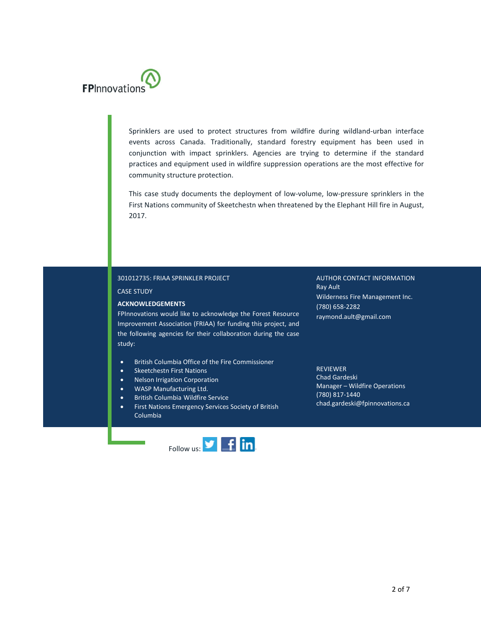## **FPInnovations**

Sprinklers are used to protect structures from wildfire during wildland-urban interface events across Canada. Traditionally, standard forestry equipment has been used in conjunction with impact sprinklers. Agencies are trying to determine if the standard practices and equipment used in wildfire suppression operations are the most effective for community structure protection.

This case study documents the deployment of low-volume, low-pressure sprinklers in the First Nations community of Skeetchestn when threatened by the Elephant Hill fire in August, 2017.

#### 301012735: FRIAA SPRINKLER PROJECT

#### CASE STUDY

,

#### **ACKNOWLEDGEMENTS**

FPInnovations would like to acknowledge the Forest Resource Improvement Association (FRIAA) for funding this project, and the following agencies for their collaboration during the case study:

- **•** British Columbia Office of the Fire Commissioner
- Skeetchestn First Nations
- Nelson Irrigation Corporation
- WASP Manufacturing Ltd.
- British Columbia Wildfire Service
- First Nations Emergency Services Society of British Columbia



AUTHOR CONTACT INFORMATION Ray Ault Wilderness Fire Management Inc. (780) 658-2282 raymond.ault@gmail.com

REVIEWER Chad Gardeski Manager – Wildfire Operations (780) 817-1440 chad.gardeski@fpinnovations.ca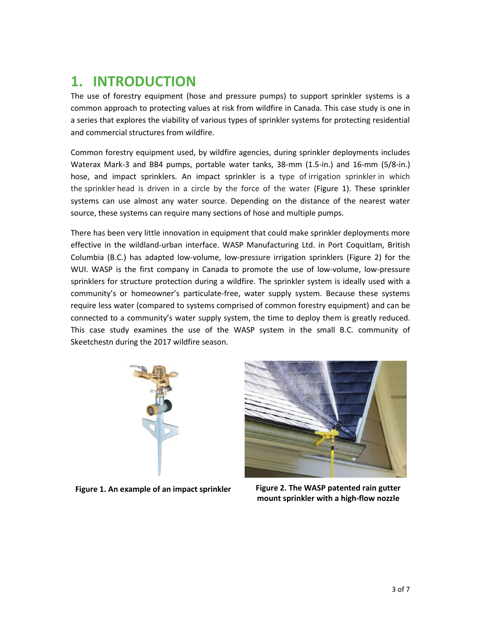## <sup>3</sup> **1. INTRODUCTION**

The use of forestry equipment (hose and pressure pumps) to support sprinkler systems is a common approach to protecting values at risk from wildfire in Canada. This case study is one in a series that explores the viability of various types of sprinkler systems for protecting residential and commercial structures from wildfire.

Common forestry equipment used, by wildfire agencies, during sprinkler deployments includes Waterax Mark-3 and BB4 pumps, portable water tanks, 38-mm (1.5-in.) and 16-mm (5/8-in.) hose, and impact sprinklers. An impact sprinkler is a type of irrigation sprinkler in which the sprinkler head is driven in a circle by the force of the water (Figure 1). These sprinkler systems can use almost any water source. Depending on the distance of the nearest water source, these systems can require many sections of hose and multiple pumps.

There has been very little innovation in equipment that could make sprinkler deployments more effective in the wildland-urban interface. WASP Manufacturing Ltd. in Port Coquitlam, British Columbia (B.C.) has adapted low-volume, low-pressure irrigation sprinklers (Figure 2) for the WUI. WASP is the first company in Canada to promote the use of low-volume, low-pressure sprinklers for structure protection during a wildfire. The sprinkler system is ideally used with a community's or homeowner's particulate-free, water supply system. Because these systems require less water (compared to systems comprised of common forestry equipment) and can be connected to a community's water supply system, the time to deploy them is greatly reduced. This case study examines the use of the WASP system in the small B.C. community of Skeetchestn during the 2017 wildfire season.





**Figure 1. An example of an impact sprinkler Figure 2. The WASP patented rain gutter mount sprinkler with a high-flow nozzle**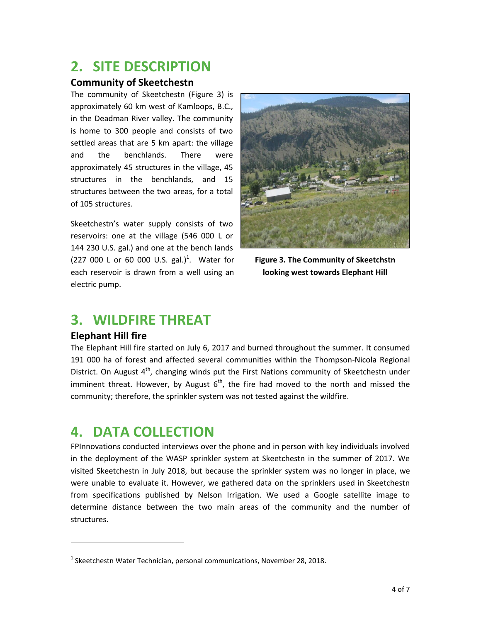## **2. SITE DESCRIPTION**

#### **Community of Skeetchestn**

The community of Skeetchestn (Figure 3) is approximately 60 km west of Kamloops, B.C., in the Deadman River valley. The community is home to 300 people and consists of two settled areas that are 5 km apart: the village and the benchlands. There were approximately 45 structures in the village, 45 structures in the benchlands, and 15 structures between the two areas, for a total of 105 structures.

Skeetchestn's water supply consists of two reservoirs: one at the village (546 000 L or 144 230 U.S. gal.) and one at the bench lands (227 000 L or 60 000 U.S. gal.)<sup>1</sup>. Water for each reservoir is drawn from a well using an electric pump.



**Figure 3. The Community of Skeetchstn looking west towards Elephant Hill**

## **3. WILDFIRE THREAT**

#### **Elephant Hill fire**

 $\overline{\phantom{a}}$ 

The Elephant Hill fire started on July 6, 2017 and burned throughout the summer. It consumed 191 000 ha of forest and affected several communities within the Thompson-Nicola Regional District. On August  $4<sup>th</sup>$ , changing winds put the First Nations community of Skeetchestn under imminent threat. However, by August  $6<sup>th</sup>$ , the fire had moved to the north and missed the community; therefore, the sprinkler system was not tested against the wildfire.

## **4. DATA COLLECTION**

FPInnovations conducted interviews over the phone and in person with key individuals involved in the deployment of the WASP sprinkler system at Skeetchestn in the summer of 2017. We visited Skeetchestn in July 2018, but because the sprinkler system was no longer in place, we were unable to evaluate it. However, we gathered data on the sprinklers used in Skeetchestn from specifications published by Nelson Irrigation. We used a Google satellite image to determine distance between the two main areas of the community and the number of structures.

 $^{1}$  Skeetchestn Water Technician, personal communications, November 28, 2018.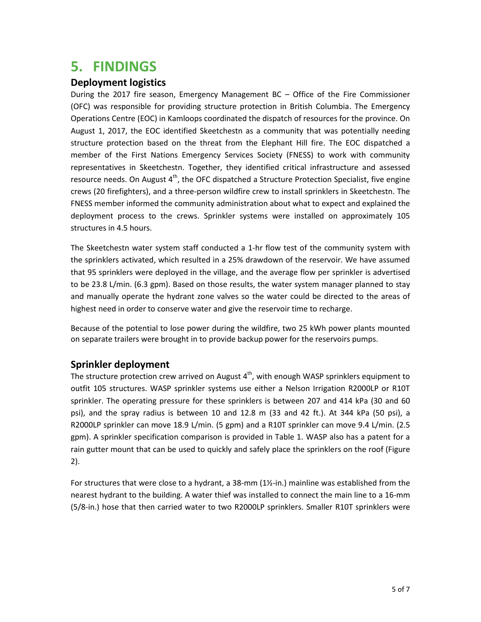## **5. FINDINGS**

#### **Deployment logistics**

During the 2017 fire season, Emergency Management BC – Office of the Fire Commissioner (OFC) was responsible for providing structure protection in British Columbia. The Emergency Operations Centre (EOC) in Kamloops coordinated the dispatch of resources for the province. On August 1, 2017, the EOC identified Skeetchestn as a community that was potentially needing structure protection based on the threat from the Elephant Hill fire. The EOC dispatched a member of the First Nations Emergency Services Society (FNESS) to work with community representatives in Skeetchestn. Together, they identified critical infrastructure and assessed resource needs. On August  $4^{\text{th}}$ , the OFC dispatched a Structure Protection Specialist, five engine crews (20 firefighters), and a three-person wildfire crew to install sprinklers in Skeetchestn. The FNESS member informed the community administration about what to expect and explained the deployment process to the crews. Sprinkler systems were installed on approximately 105 structures in 4.5 hours.

The Skeetchestn water system staff conducted a 1-hr flow test of the community system with the sprinklers activated, which resulted in a 25% drawdown of the reservoir. We have assumed that 95 sprinklers were deployed in the village, and the average flow per sprinkler is advertised to be 23.8 L/min. (6.3 gpm). Based on those results, the water system manager planned to stay and manually operate the hydrant zone valves so the water could be directed to the areas of highest need in order to conserve water and give the reservoir time to recharge.

Because of the potential to lose power during the wildfire, two 25 kWh power plants mounted on separate trailers were brought in to provide backup power for the reservoirs pumps.

#### **Sprinkler deployment**

The structure protection crew arrived on August  $4^{\text{th}}$ , with enough WASP sprinklers equipment to outfit 105 structures. WASP sprinkler systems use either a Nelson Irrigation R2000LP or R10T sprinkler. The operating pressure for these sprinklers is between 207 and 414 kPa (30 and 60 psi), and the spray radius is between 10 and 12.8 m (33 and 42 ft.). At 344 kPa (50 psi), a R2000LP sprinkler can move 18.9 L/min. (5 gpm) and a R10T sprinkler can move 9.4 L/min. (2.5 gpm). A sprinkler specification comparison is provided in Table 1. WASP also has a patent for a rain gutter mount that can be used to quickly and safely place the sprinklers on the roof (Figure 2).

For structures that were close to a hydrant, a 38-mm (1½-in.) mainline was established from the nearest hydrant to the building. A water thief was installed to connect the main line to a 16-mm (5/8-in.) hose that then carried water to two R2000LP sprinklers. Smaller R10T sprinklers were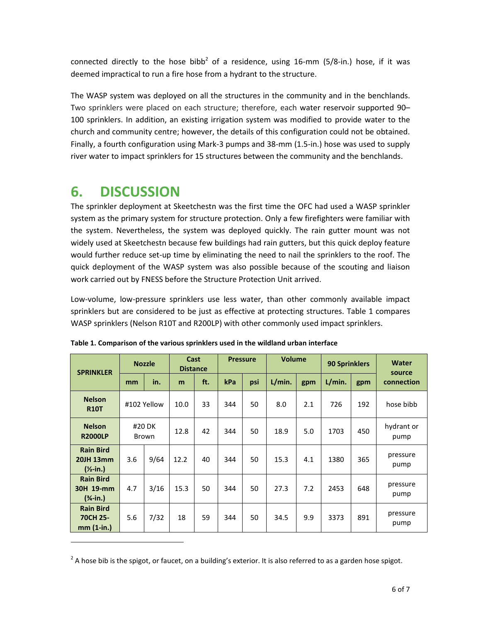connected directly to the hose bibb<sup>2</sup> of a residence, using 16-mm (5/8-in.) hose, if it was deemed impractical to run a fire hose from a hydrant to the structure.

The WASP system was deployed on all the structures in the community and in the benchlands. Two sprinklers were placed on each structure; therefore, each water reservoir supported 90– 100 sprinklers. In addition, an existing irrigation system was modified to provide water to the church and community centre; however, the details of this configuration could not be obtained. Finally, a fourth configuration using Mark-3 pumps and 38-mm (1.5-in.) hose was used to supply river water to impact sprinklers for 15 structures between the community and the benchlands.

## **6. DISCUSSION**

 $\overline{\phantom{a}}$ 

The sprinkler deployment at Skeetchestn was the first time the OFC had used a WASP sprinkler system as the primary system for structure protection. Only a few firefighters were familiar with the system. Nevertheless, the system was deployed quickly. The rain gutter mount was not widely used at Skeetchestn because few buildings had rain gutters, but this quick deploy feature would further reduce set-up time by eliminating the need to nail the sprinklers to the roof. The quick deployment of the WASP system was also possible because of the scouting and liaison work carried out by FNESS before the Structure Protection Unit arrived.

Low-volume, low-pressure sprinklers use less water, than other commonly available impact sprinklers but are considered to be just as effective at protecting structures. Table 1 compares WASP sprinklers (Nelson R10T and R200LP) with other commonly used impact sprinklers.

| <b>SPRINKLER</b>                                   | <b>Nozzle</b> |                 | Cast<br><b>Distance</b> |     | <b>Pressure</b> |     | <b>Volume</b> |     | <b>90 Sprinklers</b> |     | <b>Water</b><br>source |
|----------------------------------------------------|---------------|-----------------|-------------------------|-----|-----------------|-----|---------------|-----|----------------------|-----|------------------------|
|                                                    | mm            | in.             | m                       | ft. | kPa             | psi | L/min.        | gpm | L/min.               | gpm | connection             |
| <b>Nelson</b><br><b>R10T</b>                       |               | #102 Yellow     | 10.0                    | 33  | 344             | 50  | 8.0           | 2.1 | 726                  | 192 | hose bibb              |
| <b>Nelson</b><br><b>R2000LP</b>                    |               | #20 DK<br>Brown | 12.8                    | 42  | 344             | 50  | 18.9          | 5.0 | 1703                 | 450 | hydrant or<br>pump     |
| <b>Rain Bird</b><br><b>20JH 13mm</b><br>$(Y1-in.)$ | 3.6           | 9/64            | 12.2                    | 40  | 344             | 50  | 15.3          | 4.1 | 1380                 | 365 | pressure<br>pump       |
| <b>Rain Bird</b><br>30H 19-mm<br>$(*i n.)$         | 4.7           | 3/16            | 15.3                    | 50  | 344             | 50  | 27.3          | 7.2 | 2453                 | 648 | pressure<br>pump       |
| <b>Rain Bird</b><br>70CH 25-<br>mm (1-in.)         | 5.6           | 7/32            | 18                      | 59  | 344             | 50  | 34.5          | 9.9 | 3373                 | 891 | pressure<br>pump       |

|  |  | Table 1. Comparison of the various sprinklers used in the wildland urban interface |
|--|--|------------------------------------------------------------------------------------|
|--|--|------------------------------------------------------------------------------------|

 $^2$  A hose bib is the spigot, or faucet, on a building's exterior. It is also referred to as a garden hose spigot.